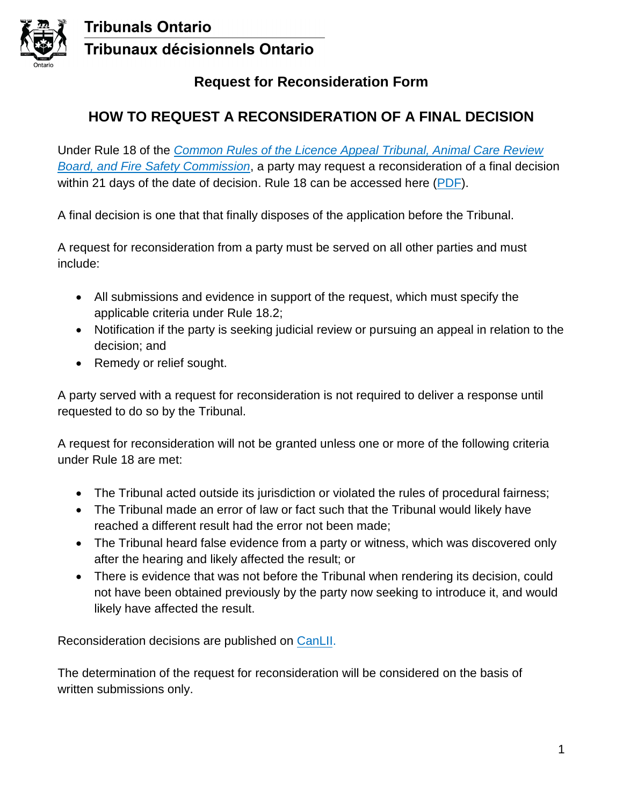

### **Tribunals Ontario Tribunaux décisionnels Ontario**

#### **Request for Reconsideration Form**

### **HOW TO REQUEST A RECONSIDERATION OF A FINAL DECISION**

Under Rule 18 of the *[Common Rules of the Licence Appeal Tribunal, Animal Care Review](https://tribunalsontario.ca/documents/lat-acrb-fsc/LAT-ACRB-FSC-Common-Rules-of-Practice-Procedure_02.07.2019.pdf) Board, and Fire Safety Commission*, a party may request a reconsideration of a final decision within 21 days of the date of decision. Rule 18 can be accessed here ([PDF\)](https://tribunalsontario.ca/documents/acrb/Rule-18-2019-final_02.07.2019.pdf).

A final decision is one that that finally disposes of the application before the Tribunal.

A request for reconsideration from a party must be served on all other parties and must include:

- All submissions and evidence in support of the request, which must specify the applicable criteria under Rule 18.2;
- Notification if the party is seeking judicial review or pursuing an appeal in relation to the decision; and
- Remedy or relief sought.

A party served with a request for reconsideration is not required to deliver a response until requested to do so by the Tribunal.

A request for reconsideration will not be granted unless one or more of the following criteria under Rule 18 are met:

- The Tribunal acted outside its jurisdiction or violated the rules of procedural fairness;
- The Tribunal made an error of law or fact such that the Tribunal would likely have reached a different result had the error not been made;
- The Tribunal heard false evidence from a party or witness, which was discovered only after the hearing and likely affected the result; or
- There is evidence that was not before the Tribunal when rendering its decision, could not have been obtained previously by the party now seeking to introduce it, and would likely have affected the result.

Reconsideration decisions are published on [CanLII](https://www.canlii.org/en/).

The determination of the request for reconsideration will be considered on the basis of written submissions only.